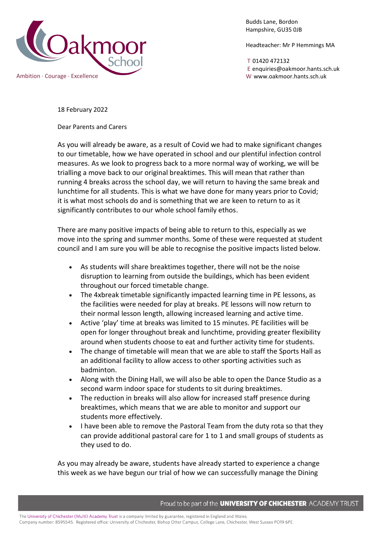

Budds Lane, Bordon Hampshire, GU35 0JB

Headteacher: Mr P Hemmings MA

T 01420 472132 E enquiries@oakmoor.hants.sch.uk

18 February 2022

Dear Parents and Carers

As you will already be aware, as a result of Covid we had to make significant changes to our timetable, how we have operated in school and our plentiful infection control measures. As we look to progress back to a more normal way of working, we will be trialling a move back to our original breaktimes. This will mean that rather than running 4 breaks across the school day, we will return to having the same break and lunchtime for all students. This is what we have done for many years prior to Covid; it is what most schools do and is something that we are keen to return to as it significantly contributes to our whole school family ethos.

There are many positive impacts of being able to return to this, especially as we move into the spring and summer months. Some of these were requested at student council and I am sure you will be able to recognise the positive impacts listed below.

- As students will share breaktimes together, there will not be the noise disruption to learning from outside the buildings, which has been evident throughout our forced timetable change.
- The 4xbreak timetable significantly impacted learning time in PE lessons, as the facilities were needed for play at breaks. PE lessons will now return to their normal lesson length, allowing increased learning and active time.
- Active 'play' time at breaks was limited to 15 minutes. PE facilities will be open for longer throughout break and lunchtime, providing greater flexibility around when students choose to eat and further activity time for students.
- The change of timetable will mean that we are able to staff the Sports Hall as an additional facility to allow access to other sporting activities such as badminton.
- Along with the Dining Hall, we will also be able to open the Dance Studio as a second warm indoor space for students to sit during breaktimes.
- The reduction in breaks will also allow for increased staff presence during breaktimes, which means that we are able to monitor and support our students more effectively.
- I have been able to remove the Pastoral Team from the duty rota so that they can provide additional pastoral care for 1 to 1 and small groups of students as they used to do.

As you may already be aware, students have already started to experience a change this week as we have begun our trial of how we can successfully manage the Dining

Proud to be part of the **UNIVERSITY OF CHICHESTER** ACADEMY TRUST